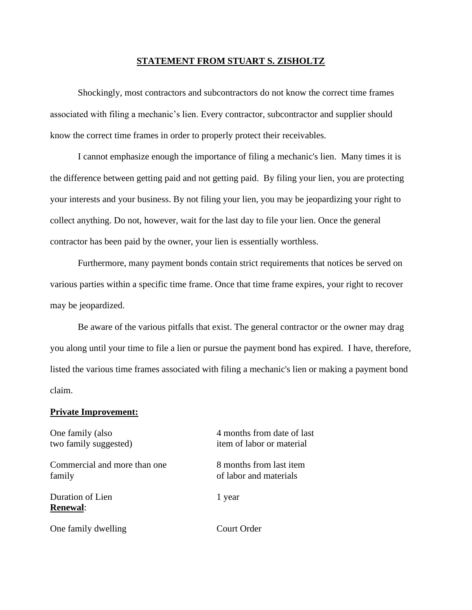## **STATEMENT FROM STUART S. ZISHOLTZ**

Shockingly, most contractors and subcontractors do not know the correct time frames associated with filing a mechanic's lien. Every contractor, subcontractor and supplier should know the correct time frames in order to properly protect their receivables.

I cannot emphasize enough the importance of filing a mechanic's lien. Many times it is the difference between getting paid and not getting paid. By filing your lien, you are protecting your interests and your business. By not filing your lien, you may be jeopardizing your right to collect anything. Do not, however, wait for the last day to file your lien. Once the general contractor has been paid by the owner, your lien is essentially worthless.

Furthermore, many payment bonds contain strict requirements that notices be served on various parties within a specific time frame. Once that time frame expires, your right to recover may be jeopardized.

Be aware of the various pitfalls that exist. The general contractor or the owner may drag you along until your time to file a lien or pursue the payment bond has expired. I have, therefore, listed the various time frames associated with filing a mechanic's lien or making a payment bond claim.

## **Private Improvement:**

Commercial and more than one 8 months from last item family of labor and materials

Duration of Lien 1 year **Renewal**:

One family dwelling Court Order

One family (also 4 months from date of last two family suggested) item of labor or material